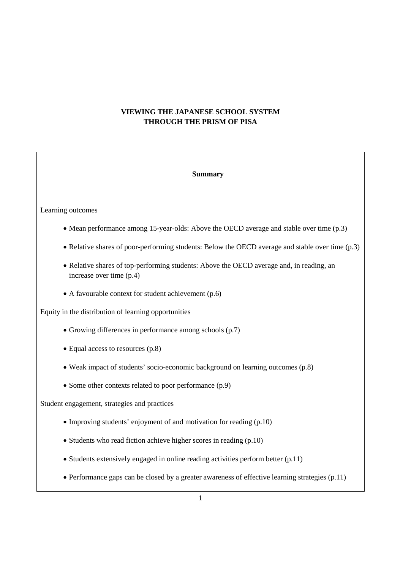# **VIEWING THE JAPANESE SCHOOL SYSTEM THROUGH THE PRISM OF PISA**

# **Summary**

# Learning outcomes

- Mean performance among 15-year-olds: Above the OECD average and stable over time (p.3)
- Relative shares of poor-performing students: Below the OECD average and stable over time (p.3)
- Relative shares of top-performing students: Above the OECD average and, in reading, an increase over time (p.4)
- A favourable context for student achievement (p.6)

Equity in the distribution of learning opportunities

- Growing differences in performance among schools (p.7)
- Equal access to resources (p.8)
- Weak impact of students' socio-economic background on learning outcomes (p.8)
- Some other contexts related to poor performance (p.9)

Student engagement, strategies and practices

- Improving students' enjoyment of and motivation for reading (p.10)
- Students who read fiction achieve higher scores in reading (p.10)
- Students extensively engaged in online reading activities perform better (p.11)
- Performance gaps can be closed by a greater awareness of effective learning strategies (p.11)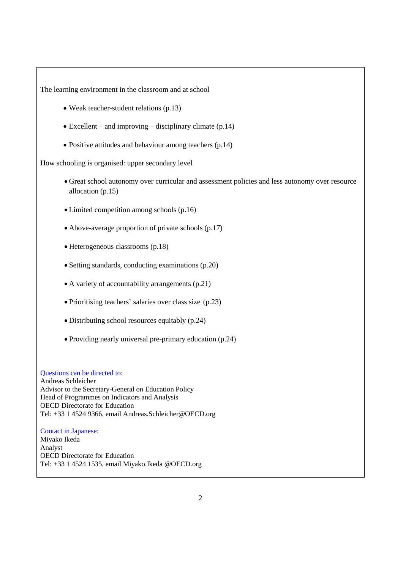The learning environment in the classroom and at school

- Weak teacher-student relations (p.13)
- Excellent and improving disciplinary climate  $(p.14)$
- Positive attitudes and behaviour among teachers (p.14)

How schooling is organised: upper secondary level

- Great school autonomy over curricular and assessment policies and less autonomy over resource allocation (p.15)
- Limited competition among schools (p.16)
- Above-average proportion of private schools (p.17)
- Heterogeneous classrooms (p.18)
- Setting standards, conducting examinations (p.20)
- A variety of accountability arrangements (p.21)
- Prioritising teachers' salaries over class size (p.23)
- Distributing school resources equitably (p.24)
- Providing nearly universal pre-primary education (p.24)

# Questions can be directed to:

Andreas Schleicher Advisor to the Secretary-General on Education Policy Head of Programmes on Indicators and Analysis OECD Directorate for Education Tel: +33 1 4524 9366, email Andreas.Schleicher@OECD.org

### Contact in Japanese:

Miyako Ikeda Analyst OECD Directorate for Education Tel: +33 1 4524 1535, email Miyako.Ikeda @OECD.org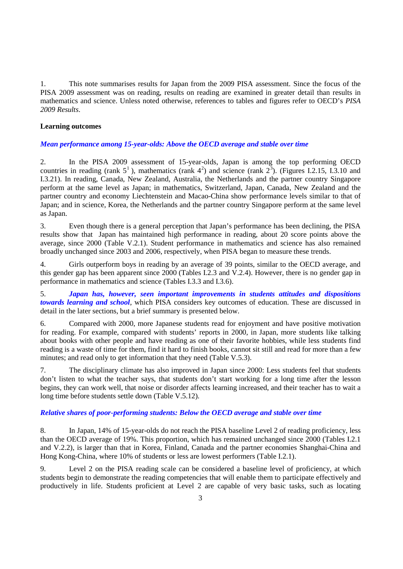1. This note summarises results for Japan from the 2009 PISA assessment. Since the focus of the PISA 2009 assessment was on reading, results on reading are examined in greater detail than results in mathematics and science. Unless noted otherwise, references to tables and figures refer to OECD's *PISA 2009 Results*.

# **Learning outcomes**

# *Mean performance among 15-year-olds: Above the OECD average and stable over time*

2. In the PISA 2009 assessment of 15-year-olds, Japan is among the top performing OECD countries in reading (rank  $5^1$  $5^1$ ), mathematics (rank  $4^2$  $4^2$ ) and science (rank  $2^3$  $2^3$ ). (Figures I.2.15, I.3.10 and I.3.21). In reading, Canada, New Zealand, Australia, the Netherlands and the partner country Singapore perform at the same level as Japan; in mathematics, Switzerland, Japan, Canada, New Zealand and the partner country and economy Liechtenstein and Macao-China show performance levels similar to that of Japan; and in science, Korea, the Netherlands and the partner country Singapore perform at the same level as Japan.

3. Even though there is a general perception that Japan's performance has been declining, the PISA results show that Japan has maintained high performance in reading, about 20 score points above the average, since 2000 (Table V.2.1). Student performance in mathematics and science has also remained broadly unchanged since 2003 and 2006, respectively, when PISA began to measure these trends.

4. Girls outperform boys in reading by an average of 39 points, similar to the OECD average, and this gender gap has been apparent since 2000 (Tables I.2.3 and V.2.4). However, there is no gender gap in performance in mathematics and science (Tables I.3.3 and I.3.6).

5. *Japan has, however, seen important improvements in students attitudes and dispositions towards learning and school*, which PISA considers key outcomes of education. These are discussed in detail in the later sections, but a brief summary is presented below.

6. Compared with 2000, more Japanese students read for enjoyment and have positive motivation for reading. For example, compared with students' reports in 2000, in Japan, more students like talking about books with other people and have reading as one of their favorite hobbies, while less students find reading is a waste of time for them, find it hard to finish books, cannot sit still and read for more than a few minutes; and read only to get information that they need (Table V.5.3).

7. The disciplinary climate has also improved in Japan since 2000: Less students feel that students don't listen to what the teacher says, that students don't start working for a long time after the lesson begins, they can work well, that noise or disorder affects learning increased, and their teacher has to wait a long time before students settle down (Table V.5.12).

## *Relative shares of poor-performing students: Below the OECD average and stable over time*

8. In Japan, 14% of 15-year-olds do not reach the PISA baseline Level 2 of reading proficiency, less than the OECD average of 19%. This proportion, which has remained unchanged since 2000 (Tables I.2.1 and V.2.2), is larger than that in Korea, Finland, Canada and the partner economies Shanghai-China and Hong Kong-China, where 10% of students or less are lowest performers (Table I.2.1).

9. Level 2 on the PISA reading scale can be considered a baseline level of proficiency, at which students begin to demonstrate the reading competencies that will enable them to participate effectively and productively in life. Students proficient at Level 2 are capable of very basic tasks, such as locating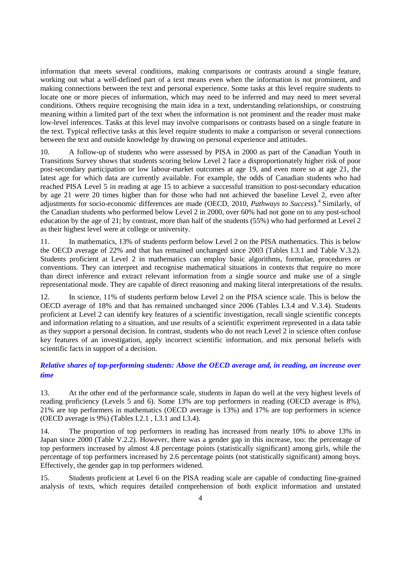information that meets several conditions, making comparisons or contrasts around a single feature, working out what a well-defined part of a text means even when the information is not prominent, and making connections between the text and personal experience. Some tasks at this level require students to locate one or more pieces of information, which may need to be inferred and may need to meet several conditions. Others require recognising the main idea in a text, understanding relationships, or construing meaning within a limited part of the text when the information is not prominent and the reader must make low-level inferences. Tasks at this level may involve comparisons or contrasts based on a single feature in the text. Typical reflective tasks at this level require students to make a comparison or several connections between the text and outside knowledge by drawing on personal experience and attitudes.

10. A follow-up of students who were assessed by PISA in 2000 as part of the Canadian Youth in Transitions Survey shows that students scoring below Level 2 face a disproportionately higher risk of poor post-secondary participation or low labour-market outcomes at age 19, and even more so at age 21, the latest age for which data are currently available. For example, the odds of Canadian students who had reached PISA Level 5 in reading at age 15 to achieve a successful transition to post-secondary education by age 21 were 20 times higher than for those who had not achieved the baseline Level 2, even after adjustments for socio-economic differences are made (OECD, 2010, *Pathways to Success*). [4](#page-24-3) Similarly, of the Canadian students who performed below Level 2 in 2000, over 60% had not gone on to any post-school education by the age of 21; by contrast, more than half of the students (55%) who had performed at Level 2 as their highest level were at college or university.

11. In mathematics, 13% of students perform below Level 2 on the PISA mathematics. This is below the OECD average of 22% and that has remained unchanged since 2003 (Tables I.3.1 and Table V.3.2). Students proficient at Level 2 in mathematics can employ basic algorithms, formulae, procedures or conventions. They can interpret and recognise mathematical situations in contexts that require no more than direct inference and extract relevant information from a single source and make use of a single representational mode. They are capable of direct reasoning and making literal interpretations of the results.

12. In science, 11% of students perform below Level 2 on the PISA science scale. This is below the OECD average of 18% and that has remained unchanged since 2006 (Tables I.3.4 and V.3.4). Students proficient at Level 2 can identify key features of a scientific investigation, recall single scientific concepts and information relating to a situation, and use results of a scientific experiment represented in a data table as they support a personal decision. In contrast, students who do not reach Level 2 in science often confuse key features of an investigation, apply incorrect scientific information, and mix personal beliefs with scientific facts in support of a decision.

# *Relative shares of top-performing students: Above the OECD average and, in reading, an increase over time*

13. At the other end of the performance scale, students in Japan do well at the very highest levels of reading proficiency (Levels 5 and 6). Some 13% are top performers in reading (OECD average is 8%), 21% are top performers in mathematics (OECD average is 13%) and 17% are top performers in science (OECD average is 9%) (Tables I.2.1 , I.3.1 and I.3.4).

14. The proportion of top performers in reading has increased from nearly 10% to above 13% in Japan since 2000 (Table V.2.2). However, there was a gender gap in this increase, too: the percentage of top performers increased by almost 4.8 percentage points (statistically significant) among girls, while the percentage of top performers increased by 2.6 percentage points (not statistically significant) among boys. Effectively, the gender gap in top performers widened.

15. Students proficient at Level 6 on the PISA reading scale are capable of conducting fine-grained analysis of texts, which requires detailed comprehension of both explicit information and unstated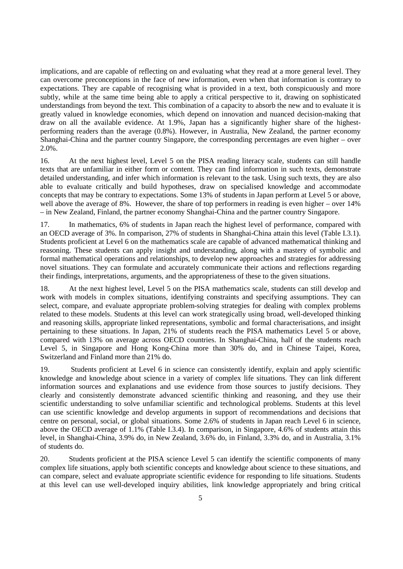implications, and are capable of reflecting on and evaluating what they read at a more general level. They can overcome preconceptions in the face of new information, even when that information is contrary to expectations. They are capable of recognising what is provided in a text, both conspicuously and more subtly, while at the same time being able to apply a critical perspective to it, drawing on sophisticated understandings from beyond the text. This combination of a capacity to absorb the new and to evaluate it is greatly valued in knowledge economies, which depend on innovation and nuanced decision-making that draw on all the available evidence. At 1.9%, Japan has a significantly higher share of the highestperforming readers than the average (0.8%). However, in Australia, New Zealand, the partner economy Shanghai-China and the partner country Singapore, the corresponding percentages are even higher – over 2.0%.

16. At the next highest level, Level 5 on the PISA reading literacy scale, students can still handle texts that are unfamiliar in either form or content. They can find information in such texts, demonstrate detailed understanding, and infer which information is relevant to the task. Using such texts, they are also able to evaluate critically and build hypotheses, draw on specialised knowledge and accommodate concepts that may be contrary to expectations. Some 13% of students in Japan perform at Level 5 or above, well above the average of 8%. However, the share of top performers in reading is even higher – over 14% – in New Zealand, Finland, the partner economy Shanghai-China and the partner country Singapore.

17. In mathematics, 6% of students in Japan reach the highest level of performance, compared with an OECD average of 3%. In comparison, 27% of students in Shanghai-China attain this level (Table I.3.1). Students proficient at Level 6 on the mathematics scale are capable of advanced mathematical thinking and reasoning. These students can apply insight and understanding, along with a mastery of symbolic and formal mathematical operations and relationships, to develop new approaches and strategies for addressing novel situations. They can formulate and accurately communicate their actions and reflections regarding their findings, interpretations, arguments, and the appropriateness of these to the given situations.

18. At the next highest level, Level 5 on the PISA mathematics scale, students can still develop and work with models in complex situations, identifying constraints and specifying assumptions. They can select, compare, and evaluate appropriate problem-solving strategies for dealing with complex problems related to these models. Students at this level can work strategically using broad, well-developed thinking and reasoning skills, appropriate linked representations, symbolic and formal characterisations, and insight pertaining to these situations. In Japan, 21% of students reach the PISA mathematics Level 5 or above, compared with 13% on average across OECD countries. In Shanghai-China, half of the students reach Level 5, in Singapore and Hong Kong-China more than 30% do, and in Chinese Taipei, Korea, Switzerland and Finland more than 21% do.

19. Students proficient at Level 6 in science can consistently identify, explain and apply scientific knowledge and knowledge about science in a variety of complex life situations. They can link different information sources and explanations and use evidence from those sources to justify decisions. They clearly and consistently demonstrate advanced scientific thinking and reasoning, and they use their scientific understanding to solve unfamiliar scientific and technological problems. Students at this level can use scientific knowledge and develop arguments in support of recommendations and decisions that centre on personal, social, or global situations. Some 2.6% of students in Japan reach Level 6 in science, above the OECD average of 1.1% (Table I.3.4). In comparison, in Singapore, 4.6% of students attain this level, in Shanghai-China, 3.9% do, in New Zealand, 3.6% do, in Finland, 3.3% do, and in Australia, 3.1% of students do.

20. Students proficient at the PISA science Level 5 can identify the scientific components of many complex life situations, apply both scientific concepts and knowledge about science to these situations, and can compare, select and evaluate appropriate scientific evidence for responding to life situations. Students at this level can use well-developed inquiry abilities, link knowledge appropriately and bring critical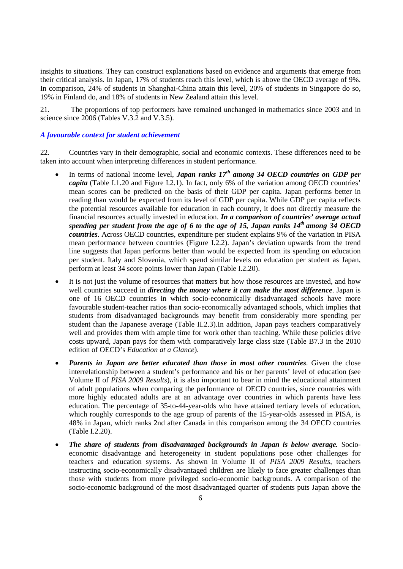insights to situations. They can construct explanations based on evidence and arguments that emerge from their critical analysis. In Japan, 17% of students reach this level, which is above the OECD average of 9%. In comparison, 24% of students in Shanghai-China attain this level, 20% of students in Singapore do so, 19% in Finland do, and 18% of students in New Zealand attain this level.

21. The proportions of top performers have remained unchanged in mathematics since 2003 and in science since 2006 (Tables V.3.2 and V.3.5).

### *A favourable context for student achievement*

22. Countries vary in their demographic, social and economic contexts. These differences need to be taken into account when interpreting differences in student performance.

- In terms of national income level, *Japan ranks 17th among 34 OECD countries on GDP per capita* (Table I.1.20 and Figure I.2.1). In fact, only 6% of the variation among OECD countries' mean scores can be predicted on the basis of their GDP per capita. Japan performs better in reading than would be expected from its level of GDP per capita. While GDP per capita reflects the potential resources available for education in each country, it does not directly measure the financial resources actually invested in education. *In a comparison of countries' average actual spending per student from the age of 6 to the age of 15, Japan ranks 14<sup>th</sup> among 34 OECD countries*. Across OECD countries, expenditure per student explains 9% of the variation in PISA mean performance between countries (Figure I.2.2). Japan's deviation upwards from the trend line suggests that Japan performs better than would be expected from its spending on education per student. Italy and Slovenia, which spend similar levels on education per student as Japan, perform at least 34 score points lower than Japan (Table I.2.20).
- It is not just the volume of resources that matters but how those resources are invested, and how well countries succeed in *directing the money where it can make the most difference*. Japan is one of 16 OECD countries in which socio-economically disadvantaged schools have more favourable student-teacher ratios than socio-economically advantaged schools, which implies that students from disadvantaged backgrounds may benefit from considerably more spending per student than the Japanese average (Table II.2.3).In addition, Japan pays teachers comparatively well and provides them with ample time for work other than teaching. While these policies drive costs upward, Japan pays for them with comparatively large class size (Table B7.3 in the 2010 edition of OECD's *Education at a Glance*).
- *Parents in Japan are better educated than those in most other countries*. Given the close interrelationship between a student's performance and his or her parents' level of education (see Volume II of *PISA 2009 Results*), it is also important to bear in mind the educational attainment of adult populations when comparing the performance of OECD countries, since countries with more highly educated adults are at an advantage over countries in which parents have less education. The percentage of 35-to-44-year-olds who have attained tertiary levels of education, which roughly corresponds to the age group of parents of the 15-year-olds assessed in PISA, is 48% in Japan, which ranks 2nd after Canada in this comparison among the 34 OECD countries (Table I.2.20).
- *The share of students from disadvantaged backgrounds in Japan is below average.* Socioeconomic disadvantage and heterogeneity in student populations pose other challenges for teachers and education systems. As shown in Volume II of *PISA 2009 Results*, teachers instructing socio-economically disadvantaged children are likely to face greater challenges than those with students from more privileged socio-economic backgrounds. A comparison of the socio-economic background of the most disadvantaged quarter of students puts Japan above the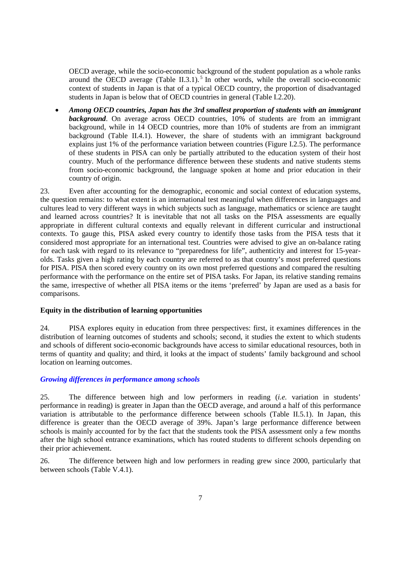OECD average, while the socio-economic background of the student population as a whole ranks around the OECD average  $(Table II.3.1)$ .<sup>[5](#page-24-4)</sup> In other words, while the overall socio-economic context of students in Japan is that of a typical OECD country, the proportion of disadvantaged students in Japan is below that of OECD countries in general (Table I.2.20).

• *Among OECD countries, Japan has the 3rd smallest proportion of students with an immigrant background*. On average across OECD countries, 10% of students are from an immigrant background, while in 14 OECD countries, more than 10% of students are from an immigrant background (Table II.4.1). However, the share of students with an immigrant background explains just 1% of the performance variation between countries (Figure I.2.5). The performance of these students in PISA can only be partially attributed to the education system of their host country. Much of the performance difference between these students and native students stems from socio-economic background, the language spoken at home and prior education in their country of origin.

23. Even after accounting for the demographic, economic and social context of education systems, the question remains: to what extent is an international test meaningful when differences in languages and cultures lead to very different ways in which subjects such as language, mathematics or science are taught and learned across countries? It is inevitable that not all tasks on the PISA assessments are equally appropriate in different cultural contexts and equally relevant in different curricular and instructional contexts. To gauge this, PISA asked every country to identify those tasks from the PISA tests that it considered most appropriate for an international test. Countries were advised to give an on-balance rating for each task with regard to its relevance to "preparedness for life", authenticity and interest for 15-yearolds. Tasks given a high rating by each country are referred to as that country's most preferred questions for PISA. PISA then scored every country on its own most preferred questions and compared the resulting performance with the performance on the entire set of PISA tasks. For Japan, its relative standing remains the same, irrespective of whether all PISA items or the items 'preferred' by Japan are used as a basis for comparisons.

### **Equity in the distribution of learning opportunities**

24. PISA explores equity in education from three perspectives: first, it examines differences in the distribution of learning outcomes of students and schools; second, it studies the extent to which students and schools of different socio-economic backgrounds have access to similar educational resources, both in terms of quantity and quality; and third, it looks at the impact of students' family background and school location on learning outcomes.

### *Growing differences in performance among schools*

25. The difference between high and low performers in reading (*i.e.* variation in students' performance in reading) is greater in Japan than the OECD average, and around a half of this performance variation is attributable to the performance difference between schools (Table II.5.1). In Japan, this difference is greater than the OECD average of 39%. Japan's large performance difference between schools is mainly accounted for by the fact that the students took the PISA assessment only a few months after the high school entrance examinations, which has routed students to different schools depending on their prior achievement.

26. The difference between high and low performers in reading grew since 2000, particularly that between schools (Table V.4.1).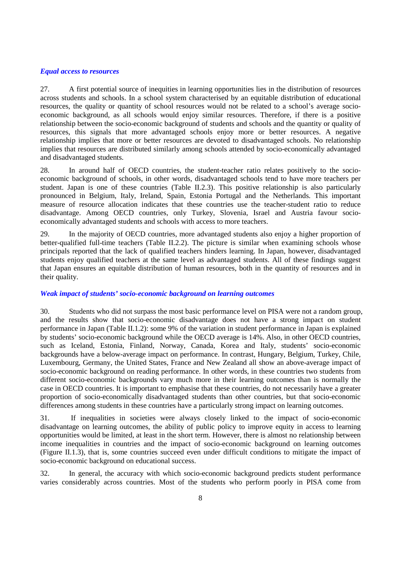### *Equal access to resources*

27. A first potential source of inequities in learning opportunities lies in the distribution of resources across students and schools. In a school system characterised by an equitable distribution of educational resources, the quality or quantity of school resources would not be related to a school's average socioeconomic background, as all schools would enjoy similar resources. Therefore, if there is a positive relationship between the socio-economic background of students and schools and the quantity or quality of resources, this signals that more advantaged schools enjoy more or better resources. A negative relationship implies that more or better resources are devoted to disadvantaged schools. No relationship implies that resources are distributed similarly among schools attended by socio-economically advantaged and disadvantaged students.

28. In around half of OECD countries, the student-teacher ratio relates positively to the socioeconomic background of schools, in other words, disadvantaged schools tend to have more teachers per student. Japan is one of these countries (Table II.2.3). This positive relationship is also particularly pronounced in Belgium, Italy, Ireland, Spain, Estonia Portugal and the Netherlands. This important measure of resource allocation indicates that these countries use the teacher-student ratio to reduce disadvantage. Among OECD countries, only Turkey, Slovenia, Israel and Austria favour socioeconomically advantaged students and schools with access to more teachers.

29. In the majority of OECD countries, more advantaged students also enjoy a higher proportion of better-qualified full-time teachers (Table II.2.2). The picture is similar when examining schools whose principals reported that the lack of qualified teachers hinders learning. In Japan, however, disadvantaged students enjoy qualified teachers at the same level as advantaged students. All of these findings suggest that Japan ensures an equitable distribution of human resources, both in the quantity of resources and in their quality.

## *Weak impact of students' socio-economic background on learning outcomes*

30. Students who did not surpass the most basic performance level on PISA were not a random group, and the results show that socio-economic disadvantage does not have a strong impact on student performance in Japan (Table II.1.2): some 9% of the variation in student performance in Japan is explained by students' socio-economic background while the OECD average is 14%. Also, in other OECD countries, such as Iceland, Estonia, Finland, Norway, Canada, Korea and Italy, students' socio-economic backgrounds have a below-average impact on performance. In contrast, Hungary, Belgium, Turkey, Chile, Luxembourg, Germany, the United States, France and New Zealand all show an above-average impact of socio-economic background on reading performance. In other words, in these countries two students from different socio-economic backgrounds vary much more in their learning outcomes than is normally the case in OECD countries. It is important to emphasise that these countries, do not necessarily have a greater proportion of socio-economically disadvantaged students than other countries, but that socio-economic differences among students in these countries have a particularly strong impact on learning outcomes.

31. If inequalities in societies were always closely linked to the impact of socio-economic disadvantage on learning outcomes, the ability of public policy to improve equity in access to learning opportunities would be limited, at least in the short term. However, there is almost no relationship between income inequalities in countries and the impact of socio-economic background on learning outcomes (Figure II.1.3), that is, some countries succeed even under difficult conditions to mitigate the impact of socio-economic background on educational success.

32. In general, the accuracy with which socio-economic background predicts student performance varies considerably across countries. Most of the students who perform poorly in PISA come from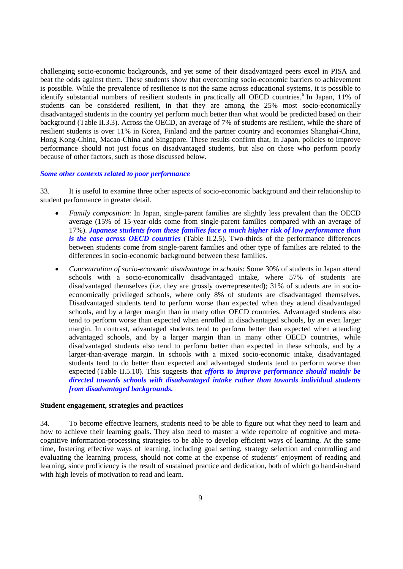challenging socio-economic backgrounds, and yet some of their disadvantaged peers excel in PISA and beat the odds against them. These students show that overcoming socio-economic barriers to achievement is possible. While the prevalence of resilience is not the same across educational systems, it is possible to identify substantial numbers of resilient students in practically all OECD countries.<sup>[6](#page-24-5)</sup> In Japan, 11% of students can be considered resilient, in that they are among the 25% most socio-economically disadvantaged students in the country yet perform much better than what would be predicted based on their background (Table II.3.3). Across the OECD, an average of 7% of students are resilient, while the share of resilient students is over 11% in Korea, Finland and the partner country and economies Shanghai-China, Hong Kong-China, Macao-China and Singapore. These results confirm that, in Japan, policies to improve performance should not just focus on disadvantaged students, but also on those who perform poorly because of other factors, such as those discussed below.

# *Some other contexts related to poor performance*

33. It is useful to examine three other aspects of socio-economic background and their relationship to student performance in greater detail.

- *Family composition*: In Japan, single-parent families are slightly less prevalent than the OECD average (15% of 15-year-olds come from single-parent families compared with an average of 17%). *Japanese students from these families face a much higher risk of low performance than is the case across OECD countries* (Table II.2.5). Two-thirds of the performance differences between students come from single-parent families and other type of families are related to the differences in socio-economic background between these families.
- *Concentration of socio-economic disadvantage in schools:* Some 30% of students in Japan attend schools with a socio-economically disadvantaged intake, where 57% of students are disadvantaged themselves (*i.e.* they are grossly overrepresented); 31% of students are in socioeconomically privileged schools, where only 8% of students are disadvantaged themselves. Disadvantaged students tend to perform worse than expected when they attend disadvantaged schools, and by a larger margin than in many other OECD countries. Advantaged students also tend to perform worse than expected when enrolled in disadvantaged schools, by an even larger margin. In contrast, advantaged students tend to perform better than expected when attending advantaged schools, and by a larger margin than in many other OECD countries, while disadvantaged students also tend to perform better than expected in these schools, and by a larger-than-average margin. In schools with a mixed socio-economic intake, disadvantaged students tend to do better than expected and advantaged students tend to perform worse than expected (Table II.5.10). This suggests that *efforts to improve performance should mainly be directed towards schools with disadvantaged intake rather than towards individual students from disadvantaged backgrounds.*

#### **Student engagement, strategies and practices**

34. To become effective learners, students need to be able to figure out what they need to learn and how to achieve their learning goals. They also need to master a wide repertoire of cognitive and metacognitive information-processing strategies to be able to develop efficient ways of learning. At the same time, fostering effective ways of learning, including goal setting, strategy selection and controlling and evaluating the learning process, should not come at the expense of students' enjoyment of reading and learning, since proficiency is the result of sustained practice and dedication, both of which go hand-in-hand with high levels of motivation to read and learn.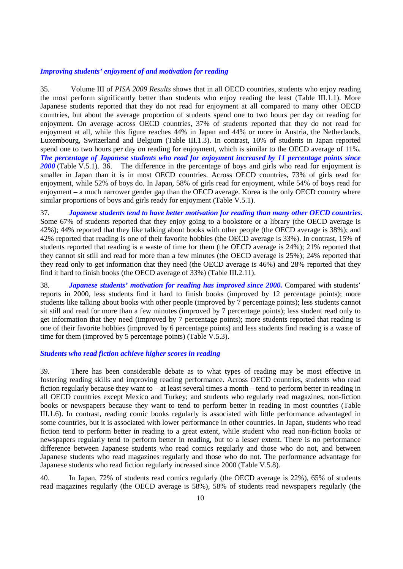### *Improving students' enjoyment of and motivation for reading*

35. Volume III of *PISA 2009 Results* shows that in all OECD countries, students who enjoy reading the most perform significantly better than students who enjoy reading the least (Table III.1.1). More Japanese students reported that they do not read for enjoyment at all compared to many other OECD countries, but about the average proportion of students spend one to two hours per day on reading for enjoyment. On average across OECD countries, 37% of students reported that they do not read for enjoyment at all, while this figure reaches 44% in Japan and 44% or more in Austria, the Netherlands, Luxembourg, Switzerland and Belgium (Table III.1.3). In contrast, 10% of students in Japan reported spend one to two hours per day on reading for enjoyment, which is similar to the OECD average of 11%. *The percentage of Japanese students who read for enjoyment increased by 11 percentage points since 2000* (Table V.5.1). 36. The difference in the percentage of boys and girls who read for enjoyment is smaller in Japan than it is in most OECD countries. Across OECD countries, 73% of girls read for enjoyment, while 52% of boys do. In Japan, 58% of girls read for enjoyment, while 54% of boys read for enjoyment – a much narrower gender gap than the OECD average. Korea is the only OECD country where similar proportions of boys and girls ready for enjoyment (Table V.5.1).

37. *Japanese students tend to have better motivation for reading than many other OECD countries.* Some 67% of students reported that they enjoy going to a bookstore or a library (the OECD average is 42%); 44% reported that they like talking about books with other people (the OECD average is 38%); and 42% reported that reading is one of their favorite hobbies (the OECD average is 33%). In contrast, 15% of students reported that reading is a waste of time for them (the OECD average is 24%); 21% reported that they cannot sit still and read for more than a few minutes (the OECD average is 25%); 24% reported that they read only to get information that they need (the OECD average is 46%) and 28% reported that they find it hard to finish books (the OECD average of 33%) (Table III.2.11).

38. *Japanese students' motivation for reading has improved since 2000.* Compared with students' reports in 2000, less students find it hard to finish books (improved by 12 percentage points); more students like talking about books with other people (improved by 7 percentage points); less students cannot sit still and read for more than a few minutes (improved by 7 percentage points); less student read only to get information that they need (improved by 7 percentage points); more students reported that reading is one of their favorite hobbies (improved by 6 percentage points) and less students find reading is a waste of time for them (improved by 5 percentage points) (Table V.5.3).

### *Students who read fiction achieve higher scores in reading*

39. There has been considerable debate as to what types of reading may be most effective in fostering reading skills and improving reading performance. Across OECD countries, students who read fiction regularly because they want to – at least several times a month – tend to perform better in reading in all OECD countries except Mexico and Turkey; and students who regularly read magazines, non-fiction books or newspapers because they want to tend to perform better in reading in most countries (Table III.1.6). In contrast, reading comic books regularly is associated with little performance advantaged in some countries, but it is associated with lower performance in other countries. In Japan, students who read fiction tend to perform better in reading to a great extent, while student who read non-fiction books or newspapers regularly tend to perform better in reading, but to a lesser extent. There is no performance difference between Japanese students who read comics regularly and those who do not, and between Japanese students who read magazines regularly and those who do not. The performance advantage for Japanese students who read fiction regularly increased since 2000 (Table V.5.8).

40. In Japan, 72% of students read comics regularly (the OECD average is 22%), 65% of students read magazines regularly (the OECD average is 58%), 58% of students read newspapers regularly (the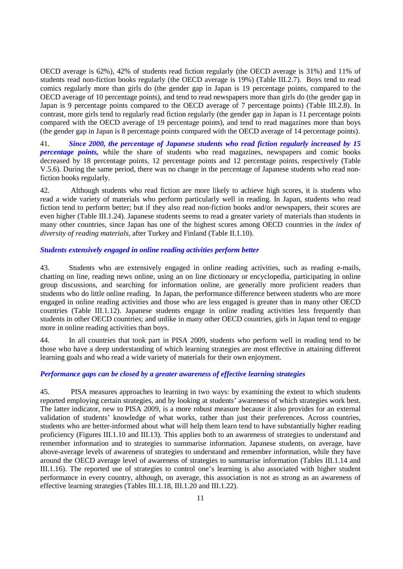OECD average is 62%), 42% of students read fiction regularly (the OECD average is 31%) and 11% of students read non-fiction books regularly (the OECD average is 19%) (Table III.2.7). Boys tend to read comics regularly more than girls do (the gender gap in Japan is 19 percentage points, compared to the OECD average of 10 percentage points), and tend to read newspapers more than girls do (the gender gap in Japan is 9 percentage points compared to the OECD average of 7 percentage points) (Table III.2.8). In contrast, more girls tend to regularly read fiction regularly (the gender gap in Japan is 11 percentage points compared with the OECD average of 19 percentage points), and tend to read magazines more than boys (the gender gap in Japan is 8 percentage points compared with the OECD average of 14 percentage points).

41. *Since 2000, the percentage of Japanese students who read fiction regularly increased by 15 percentage points*, while the share of students who read magazines, newspapers and comic books decreased by 18 percentage points, 12 percentage points and 12 percentage points, respectively (Table V.5.6). During the same period, there was no change in the percentage of Japanese students who read nonfiction books regularly.

42. Although students who read fiction are more likely to achieve high scores, it is students who read a wide variety of materials who perform particularly well in reading. In Japan, students who read fiction tend to perform better; but if they also read non-fiction books and/or newspapers, their scores are even higher (Table III.1.24). Japanese students seems to read a greater variety of materials than students in many other countries, since Japan has one of the highest scores among OECD countries in the *index of diversity of reading materials*, after Turkey and Finland (Table II.1.10).

#### *Students extensively engaged in online reading activities perform better*

43. Students who are extensively engaged in online reading activities, such as reading e-mails, chatting on line, reading news online, using an on line dictionary or encyclopedia, participating in online group discussions, and searching for information online, are generally more proficient readers than students who do little online reading. In Japan, the performance difference between students who are more engaged in online reading activities and those who are less engaged is greater than in many other OECD countries (Table III.1.12). Japanese students engage in online reading activities less frequently than students in other OECD countries; and unlike in many other OECD countries, girls in Japan tend to engage more in online reading activities than boys.

44. In all countries that took part in PISA 2009, students who perform well in reading tend to be those who have a deep understanding of which learning strategies are most effective in attaining different learning goals and who read a wide variety of materials for their own enjoyment.

# *Performance gaps can be closed by a greater awareness of effective learning strategies*

45. PISA measures approaches to learning in two ways: by examining the extent to which students reported employing certain strategies, and by looking at students' awareness of which strategies work best. The latter indicator, new to PISA 2009, is a more robust measure because it also provides for an external validation of students' knowledge of what works, rather than just their preferences. Across countries, students who are better-informed about what will help them learn tend to have substantially higher reading proficiency (Figures III.1.10 and III.13). This applies both to an awareness of strategies to understand and remember information and to strategies to summarise information. Japanese students, on average, have above-average levels of awareness of strategies to understand and remember information, while they have around the OECD average level of awareness of strategies to summarise information (Tables III.1.14 and III.1.16). The reported use of strategies to control one's learning is also associated with higher student performance in every country, although, on average, this association is not as strong as an awareness of effective learning strategies (Tables III.1.18, III.1.20 and III.1.22).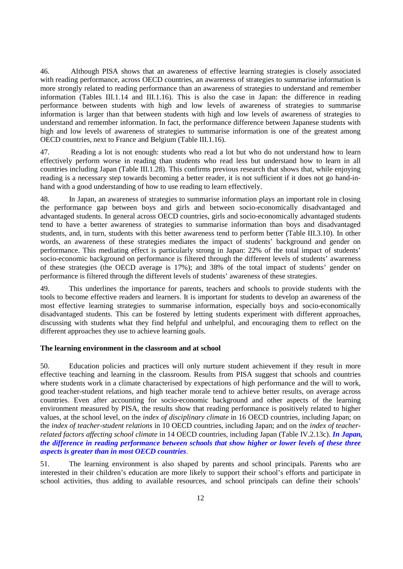46. Although PISA shows that an awareness of effective learning strategies is closely associated with reading performance, across OECD countries, an awareness of strategies to summarise information is more strongly related to reading performance than an awareness of strategies to understand and remember information (Tables III.1.14 and III.1.16). This is also the case in Japan: the difference in reading performance between students with high and low levels of awareness of strategies to summarise information is larger than that between students with high and low levels of awareness of strategies to understand and remember information. In fact, the performance difference between Japanese students with high and low levels of awareness of strategies to summarise information is one of the greatest among OECD countries, next to France and Belgium (Table III.1.16).

47. Reading a lot is not enough: students who read a lot but who do not understand how to learn effectively perform worse in reading than students who read less but understand how to learn in all countries including Japan (Table III.1.28). This confirms previous research that shows that, while enjoying reading is a necessary step towards becoming a better reader, it is not sufficient if it does not go hand-inhand with a good understanding of how to use reading to learn effectively.

48. In Japan, an awareness of strategies to summarise information plays an important role in closing the performance gap between boys and girls and between socio-economically disadvantaged and advantaged students. In general across OECD countries, girls and socio-economically advantaged students tend to have a better awareness of strategies to summarise information than boys and disadvantaged students, and, in turn, students with this better awareness tend to perform better (Table III.3.10). In other words, an awareness of these strategies mediates the impact of students' background and gender on performance. This mediating effect is particularly strong in Japan: 22% of the total impact of students' socio-economic background on performance is filtered through the different levels of students' awareness of these strategies (the OECD average is 17%); and 38% of the total impact of students' gender on performance is filtered through the different levels of students' awareness of these strategies.

49. This underlines the importance for parents, teachers and schools to provide students with the tools to become effective readers and learners. It is important for students to develop an awareness of the most effective learning strategies to summarise information, especially boys and socio-economically disadvantaged students. This can be fostered by letting students experiment with different approaches, discussing with students what they find helpful and unhelpful, and encouraging them to reflect on the different approaches they use to achieve learning goals.

#### **The learning environment in the classroom and at school**

50. Education policies and practices will only nurture student achievement if they result in more effective teaching and learning in the classroom. Results from PISA suggest that schools and countries where students work in a climate characterised by expectations of high performance and the will to work, good teacher-student relations, and high teacher morale tend to achieve better results, on average across countries. Even after accounting for socio-economic background and other aspects of the learning environment measured by PISA, the results show that reading performance is positively related to higher values, at the school level, on the *index of disciplinary climate* in 16 OECD countries, including Japan; on the *index of teacher-student relations* in 10 OECD countries, including Japan; and on the *index of teacherrelated factors affecting school climate* in 14 OECD countries, including Japan (Table IV.2.13c). *In Japan, the difference in reading performance between schools that show higher or lower levels of these three aspects is greater than in most OECD countries*.

51. The learning environment is also shaped by parents and school principals. Parents who are interested in their children's education are more likely to support their school's efforts and participate in school activities, thus adding to available resources, and school principals can define their schools'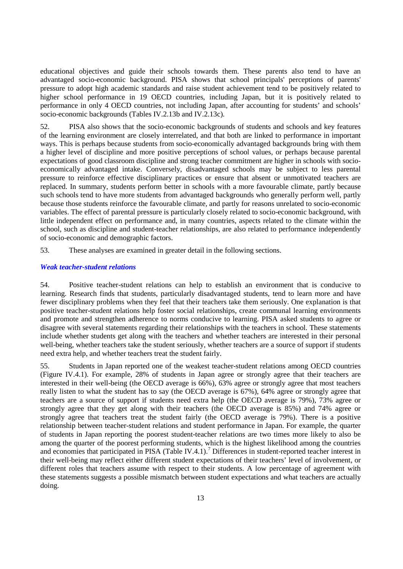educational objectives and guide their schools towards them. These parents also tend to have an advantaged socio-economic background. PISA shows that school principals' perceptions of parents' pressure to adopt high academic standards and raise student achievement tend to be positively related to higher school performance in 19 OECD countries, including Japan, but it is positively related to performance in only 4 OECD countries, not including Japan, after accounting for students' and schools' socio-economic backgrounds (Tables IV.2.13b and IV.2.13c).

52. PISA also shows that the socio-economic backgrounds of students and schools and key features of the learning environment are closely interrelated, and that both are linked to performance in important ways. This is perhaps because students from socio-economically advantaged backgrounds bring with them a higher level of discipline and more positive perceptions of school values, or perhaps because parental expectations of good classroom discipline and strong teacher commitment are higher in schools with socioeconomically advantaged intake. Conversely, disadvantaged schools may be subject to less parental pressure to reinforce effective disciplinary practices or ensure that absent or unmotivated teachers are replaced. In summary, students perform better in schools with a more favourable climate, partly because such schools tend to have more students from advantaged backgrounds who generally perform well, partly because those students reinforce the favourable climate, and partly for reasons unrelated to socio-economic variables. The effect of parental pressure is particularly closely related to socio-economic background, with little independent effect on performance and, in many countries, aspects related to the climate within the school, such as discipline and student-teacher relationships, are also related to performance independently of socio-economic and demographic factors.

53. These analyses are examined in greater detail in the following sections.

### *Weak teacher-student relations*

54. Positive teacher-student relations can help to establish an environment that is conducive to learning. Research finds that students, particularly disadvantaged students, tend to learn more and have fewer disciplinary problems when they feel that their teachers take them seriously. One explanation is that positive teacher-student relations help foster social relationships, create communal learning environments and promote and strengthen adherence to norms conducive to learning. PISA asked students to agree or disagree with several statements regarding their relationships with the teachers in school. These statements include whether students get along with the teachers and whether teachers are interested in their personal well-being, whether teachers take the student seriously, whether teachers are a source of support if students need extra help, and whether teachers treat the student fairly.

55. Students in Japan reported one of the weakest teacher-student relations among OECD countries (Figure IV.4.1). For example, 28% of students in Japan agree or strongly agree that their teachers are interested in their well-being (the OECD average is 66%), 63% agree or strongly agree that most teachers really listen to what the student has to say (the OECD average is 67%), 64% agree or strongly agree that teachers are a source of support if students need extra help (the OECD average is 79%), 73% agree or strongly agree that they get along with their teachers (the OECD average is 85%) and 74% agree or strongly agree that teachers treat the student fairly (the OECD average is 79%). There is a positive relationship between teacher-student relations and student performance in Japan. For example, the quarter of students in Japan reporting the poorest student-teacher relations are two times more likely to also be among the quarter of the poorest performing students, which is the highest likelihood among the countries and economies that participated in PISA (Table IV.4.1).<sup>[7](#page-25-0)</sup> Differences in student-reported teacher interest in their well-being may reflect either different student expectations of their teachers' level of involvement, or different roles that teachers assume with respect to their students. A low percentage of agreement with these statements suggests a possible mismatch between student expectations and what teachers are actually doing.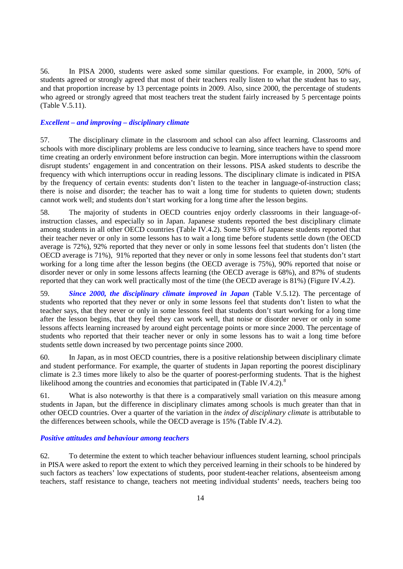56. In PISA 2000, students were asked some similar questions. For example, in 2000, 50% of students agreed or strongly agreed that most of their teachers really listen to what the student has to say, and that proportion increase by 13 percentage points in 2009. Also, since 2000, the percentage of students who agreed or strongly agreed that most teachers treat the student fairly increased by 5 percentage points (Table V.5.11).

# *Excellent – and improving – disciplinary climate*

57. The disciplinary climate in the classroom and school can also affect learning. Classrooms and schools with more disciplinary problems are less conducive to learning, since teachers have to spend more time creating an orderly environment before instruction can begin. More interruptions within the classroom disrupt students' engagement in and concentration on their lessons. PISA asked students to describe the frequency with which interruptions occur in reading lessons. The disciplinary climate is indicated in PISA by the frequency of certain events: students don't listen to the teacher in language-of-instruction class; there is noise and disorder; the teacher has to wait a long time for students to quieten down; students cannot work well; and students don't start working for a long time after the lesson begins.

58. The majority of students in OECD countries enjoy orderly classrooms in their language-ofinstruction classes, and especially so in Japan. Japanese students reported the best disciplinary climate among students in all other OECD countries (Table IV.4.2). Some 93% of Japanese students reported that their teacher never or only in some lessons has to wait a long time before students settle down (the OECD average is 72%), 92% reported that they never or only in some lessons feel that students don't listen (the OECD average is 71%), 91% reported that they never or only in some lessons feel that students don't start working for a long time after the lesson begins (the OECD average is 75%), 90% reported that noise or disorder never or only in some lessons affects learning (the OECD average is 68%), and 87% of students reported that they can work well practically most of the time (the OECD average is 81%) (Figure IV.4.2).

59. *Since 2000, the disciplinary climate improved in Japan* (Table V.5.12). The percentage of students who reported that they never or only in some lessons feel that students don't listen to what the teacher says, that they never or only in some lessons feel that students don't start working for a long time after the lesson begins, that they feel they can work well, that noise or disorder never or only in some lessons affects learning increased by around eight percentage points or more since 2000. The percentage of students who reported that their teacher never or only in some lessons has to wait a long time before students settle down increased by two percentage points since 2000.

60. In Japan, as in most OECD countries, there is a positive relationship between disciplinary climate and student performance. For example, the quarter of students in Japan reporting the poorest disciplinary climate is 2.3 times more likely to also be the quarter of poorest-performing students. That is the highest likelihood among the countries and economies that participated in (Table IV.4.2).<sup>[8](#page-25-1)</sup>

61. What is also noteworthy is that there is a comparatively small variation on this measure among students in Japan, but the difference in disciplinary climates among schools is much greater than that in other OECD countries. Over a quarter of the variation in the *index of disciplinary climate* is attributable to the differences between schools, while the OECD average is 15% (Table IV.4.2).

#### *Positive attitudes and behaviour among teachers*

62. To determine the extent to which teacher behaviour influences student learning, school principals in PISA were asked to report the extent to which they perceived learning in their schools to be hindered by such factors as teachers' low expectations of students, poor student-teacher relations, absenteeism among teachers, staff resistance to change, teachers not meeting individual students' needs, teachers being too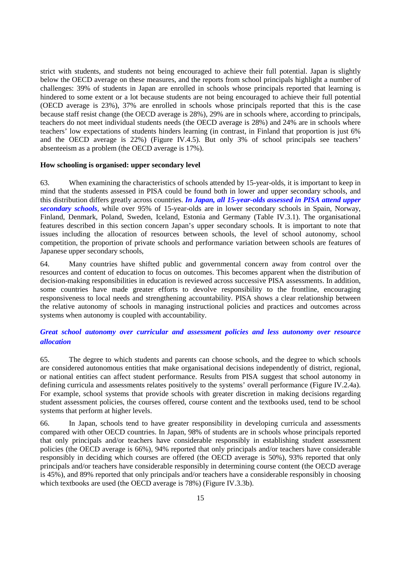strict with students, and students not being encouraged to achieve their full potential. Japan is slightly below the OECD average on these measures, and the reports from school principals highlight a number of challenges: 39% of students in Japan are enrolled in schools whose principals reported that learning is hindered to some extent or a lot because students are not being encouraged to achieve their full potential (OECD average is 23%), 37% are enrolled in schools whose principals reported that this is the case because staff resist change (the OECD average is 28%), 29% are in schools where, according to principals, teachers do not meet individual students needs (the OECD average is 28%) and 24% are in schools where teachers' low expectations of students hinders learning (in contrast, in Finland that proportion is just 6% and the OECD average is 22%) (Figure IV.4.5). But only 3% of school principals see teachers' absenteeism as a problem (the OECD average is 17%).

#### **How schooling is organised: upper secondary level**

63. When examining the characteristics of schools attended by 15-year-olds, it is important to keep in mind that the students assessed in PISA could be found both in lower and upper secondary schools, and this distribution differs greatly across countries. *In Japan, all 15-year-olds assessed in PISA attend upper secondary schools*, while over 95% of 15-year-olds are in lower secondary schools in Spain, Norway, Finland, Denmark, Poland, Sweden, Iceland, Estonia and Germany (Table IV.3.1). The organisational features described in this section concern Japan's upper secondary schools. It is important to note that issues including the allocation of resources between schools, the level of school autonomy, school competition, the proportion of private schools and performance variation between schools are features of Japanese upper secondary schools,

64. Many countries have shifted public and governmental concern away from control over the resources and content of education to focus on outcomes. This becomes apparent when the distribution of decision-making responsibilities in education is reviewed across successive PISA assessments. In addition, some countries have made greater efforts to devolve responsibility to the frontline, encouraging responsiveness to local needs and strengthening accountability. PISA shows a clear relationship between the relative autonomy of schools in managing instructional policies and practices and outcomes across systems when autonomy is coupled with accountability.

# *Great school autonomy over curricular and assessment policies and less autonomy over resource allocation*

65. The degree to which students and parents can choose schools, and the degree to which schools are considered autonomous entities that make organisational decisions independently of district, regional, or national entities can affect student performance. Results from PISA suggest that school autonomy in defining curricula and assessments relates positively to the systems' overall performance (Figure IV.2.4a). For example, school systems that provide schools with greater discretion in making decisions regarding student assessment policies, the courses offered, course content and the textbooks used, tend to be school systems that perform at higher levels.

66. In Japan, schools tend to have greater responsibility in developing curricula and assessments compared with other OECD countries. In Japan, 98% of students are in schools whose principals reported that only principals and/or teachers have considerable responsibly in establishing student assessment policies (the OECD average is 66%), 94% reported that only principals and/or teachers have considerable responsibly in deciding which courses are offered (the OECD average is 50%), 93% reported that only principals and/or teachers have considerable responsibly in determining course content (the OECD average is 45%), and 89% reported that only principals and/or teachers have a considerable responsibly in choosing which textbooks are used (the OECD average is 78%) (Figure IV.3.3b).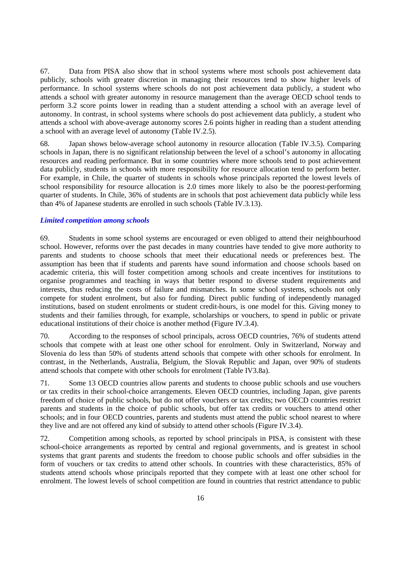67. Data from PISA also show that in school systems where most schools post achievement data publicly, schools with greater discretion in managing their resources tend to show higher levels of performance. In school systems where schools do not post achievement data publicly, a student who attends a school with greater autonomy in resource management than the average OECD school tends to perform 3.2 score points lower in reading than a student attending a school with an average level of autonomy. In contrast, in school systems where schools do post achievement data publicly, a student who attends a school with above-average autonomy scores 2.6 points higher in reading than a student attending a school with an average level of autonomy (Table IV.2.5).

68. Japan shows below-average school autonomy in resource allocation (Table IV.3.5). Comparing schools in Japan, there is no significant relationship between the level of a school's autonomy in allocating resources and reading performance. But in some countries where more schools tend to post achievement data publicly, students in schools with more responsibility for resource allocation tend to perform better. For example, in Chile, the quarter of students in schools whose principals reported the lowest levels of school responsibility for resource allocation is 2.0 times more likely to also be the poorest-performing quarter of students. In Chile, 36% of students are in schools that post achievement data publicly while less than 4% of Japanese students are enrolled in such schools (Table IV.3.13).

#### *Limited competition among schools*

69. Students in some school systems are encouraged or even obliged to attend their neighbourhood school. However, reforms over the past decades in many countries have tended to give more authority to parents and students to choose schools that meet their educational needs or preferences best. The assumption has been that if students and parents have sound information and choose schools based on academic criteria, this will foster competition among schools and create incentives for institutions to organise programmes and teaching in ways that better respond to diverse student requirements and interests, thus reducing the costs of failure and mismatches. In some school systems, schools not only compete for student enrolment, but also for funding. Direct public funding of independently managed institutions, based on student enrolments or student credit-hours, is one model for this. Giving money to students and their families through, for example, scholarships or vouchers, to spend in public or private educational institutions of their choice is another method (Figure IV.3.4).

70. According to the responses of school principals, across OECD countries, 76% of students attend schools that compete with at least one other school for enrolment. Only in Switzerland, Norway and Slovenia do less than 50% of students attend schools that compete with other schools for enrolment. In contrast, in the Netherlands, Australia, Belgium, the Slovak Republic and Japan, over 90% of students attend schools that compete with other schools for enrolment (Table IV3.8a).

71. Some 13 OECD countries allow parents and students to choose public schools and use vouchers or tax credits in their school-choice arrangements. Eleven OECD countries, including Japan, give parents freedom of choice of public schools, but do not offer vouchers or tax credits; two OECD countries restrict parents and students in the choice of public schools, but offer tax credits or vouchers to attend other schools; and in four OECD countries, parents and students must attend the public school nearest to where they live and are not offered any kind of subsidy to attend other schools (Figure IV.3.4).

72. Competition among schools, as reported by school principals in PISA, is consistent with these school-choice arrangements as reported by central and regional governments, and is greatest in school systems that grant parents and students the freedom to choose public schools and offer subsidies in the form of vouchers or tax credits to attend other schools. In countries with these characteristics, 85% of students attend schools whose principals reported that they compete with at least one other school for enrolment. The lowest levels of school competition are found in countries that restrict attendance to public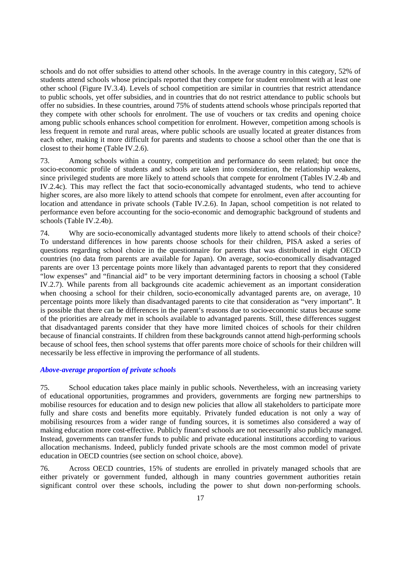schools and do not offer subsidies to attend other schools. In the average country in this category, 52% of students attend schools whose principals reported that they compete for student enrolment with at least one other school (Figure IV.3.4). Levels of school competition are similar in countries that restrict attendance to public schools, yet offer subsidies, and in countries that do not restrict attendance to public schools but offer no subsidies. In these countries, around 75% of students attend schools whose principals reported that they compete with other schools for enrolment. The use of vouchers or tax credits and opening choice among public schools enhances school competition for enrolment. However, competition among schools is less frequent in remote and rural areas, where public schools are usually located at greater distances from each other, making it more difficult for parents and students to choose a school other than the one that is closest to their home (Table IV.2.6).

73. Among schools within a country, competition and performance do seem related; but once the socio-economic profile of students and schools are taken into consideration, the relationship weakens, since privileged students are more likely to attend schools that compete for enrolment (Tables IV.2.4b and IV.2.4c). This may reflect the fact that socio-economically advantaged students, who tend to achieve higher scores, are also more likely to attend schools that compete for enrolment, even after accounting for location and attendance in private schools (Table IV.2.6). In Japan, school competition is not related to performance even before accounting for the socio-economic and demographic background of students and schools (Table IV.2.4b).

74. Why are socio-economically advantaged students more likely to attend schools of their choice? To understand differences in how parents choose schools for their children, PISA asked a series of questions regarding school choice in the questionnaire for parents that was distributed in eight OECD countries (no data from parents are available for Japan). On average, socio-economically disadvantaged parents are over 13 percentage points more likely than advantaged parents to report that they considered "low expenses" and "financial aid" to be very important determining factors in choosing a school (Table IV.2.7). While parents from all backgrounds cite academic achievement as an important consideration when choosing a school for their children, socio-economically advantaged parents are, on average, 10 percentage points more likely than disadvantaged parents to cite that consideration as "very important". It is possible that there can be differences in the parent's reasons due to socio-economic status because some of the priorities are already met in schools available to advantaged parents. Still, these differences suggest that disadvantaged parents consider that they have more limited choices of schools for their children because of financial constraints. If children from these backgrounds cannot attend high-performing schools because of school fees, then school systems that offer parents more choice of schools for their children will necessarily be less effective in improving the performance of all students.

### *Above-average proportion of private schools*

75. School education takes place mainly in public schools. Nevertheless, with an increasing variety of educational opportunities, programmes and providers, governments are forging new partnerships to mobilise resources for education and to design new policies that allow all stakeholders to participate more fully and share costs and benefits more equitably. Privately funded education is not only a way of mobilising resources from a wider range of funding sources, it is sometimes also considered a way of making education more cost-effective. Publicly financed schools are not necessarily also publicly managed. Instead, governments can transfer funds to public and private educational institutions according to various allocation mechanisms. Indeed, publicly funded private schools are the most common model of private education in OECD countries (see section on school choice, above).

76. Across OECD countries, 15% of students are enrolled in privately managed schools that are either privately or government funded, although in many countries government authorities retain significant control over these schools, including the power to shut down non-performing schools.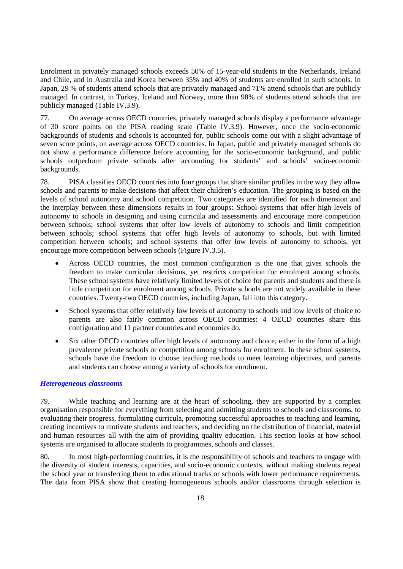Enrolment in privately managed schools exceeds 50% of 15-year-old students in the Netherlands, Ireland and Chile, and in Australia and Korea between 35% and 40% of students are enrolled in such schools. In Japan, 29 % of students attend schools that are privately managed and 71% attend schools that are publicly managed. In contrast, in Turkey, Iceland and Norway, more than 98% of students attend schools that are publicly managed (Table IV.3.9).

77. On average across OECD countries, privately managed schools display a performance advantage of 30 score points on the PISA reading scale (Table IV.3.9). However, once the socio-economic backgrounds of students and schools is accounted for, public schools come out with a slight advantage of seven score points, on average across OECD countries. In Japan, public and privately managed schools do not show a performance difference before accounting for the socio-economic background, and public schools outperform private schools after accounting for students' and schools' socio-economic backgrounds.

78. PISA classifies OECD countries into four groups that share similar profiles in the way they allow schools and parents to make decisions that affect their children's education. The grouping is based on the levels of school autonomy and school competition. Two categories are identified for each dimension and the interplay between these dimensions results in four groups: School systems that offer high levels of autonomy to schools in designing and using curricula and assessments and encourage more competition between schools; school systems that offer low levels of autonomy to schools and limit competition between schools; school systems that offer high levels of autonomy to schools, but with limited competition between schools; and school systems that offer low levels of autonomy to schools, yet encourage more competition between schools (Figure IV.3.5).

- Across OECD countries, the most common configuration is the one that gives schools the freedom to make curricular decisions, yet restricts competition for enrolment among schools. These school systems have relatively limited levels of choice for parents and students and there is little competition for enrolment among schools. Private schools are not widely available in these countries. Twenty-two OECD countries, including Japan, fall into this category.
- School systems that offer relatively low levels of autonomy to schools and low levels of choice to parents are also fairly common across OECD countries: 4 OECD countries share this configuration and 11 partner countries and economies do.
- Six other OECD countries offer high levels of autonomy and choice, either in the form of a high prevalence private schools or competition among schools for enrolment. In these school systems, schools have the freedom to choose teaching methods to meet learning objectives, and parents and students can choose among a variety of schools for enrolment.

# *Heterogeneous classrooms*

79. While teaching and learning are at the heart of schooling, they are supported by a complex organisation responsible for everything from selecting and admitting students to schools and classrooms, to evaluating their progress, formulating curricula, promoting successful approaches to teaching and learning, creating incentives to motivate students and teachers, and deciding on the distribution of financial, material and human resources–all with the aim of providing quality education. This section looks at how school systems are organised to allocate students to programmes, schools and classes.

80. In most high-performing countries, it is the responsibility of schools and teachers to engage with the diversity of student interests, capacities, and socio-economic contexts, without making students repeat the school year or transferring them to educational tracks or schools with lower performance requirements. The data from PISA show that creating homogeneous schools and/or classrooms through selection is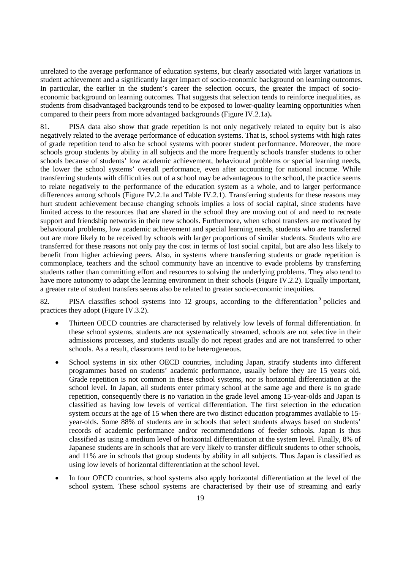unrelated to the average performance of education systems, but clearly associated with larger variations in student achievement and a significantly larger impact of socio-economic background on learning outcomes. In particular, the earlier in the student's career the selection occurs, the greater the impact of socioeconomic background on learning outcomes. That suggests that selection tends to reinforce inequalities, as students from disadvantaged backgrounds tend to be exposed to lower-quality learning opportunities when compared to their peers from more advantaged backgrounds (Figure IV.2.1a)**.**

81. PISA data also show that grade repetition is not only negatively related to equity but is also negatively related to the average performance of education systems. That is, school systems with high rates of grade repetition tend to also be school systems with poorer student performance. Moreover, the more schools group students by ability in all subjects and the more frequently schools transfer students to other schools because of students' low academic achievement, behavioural problems or special learning needs, the lower the school systems' overall performance, even after accounting for national income. While transferring students with difficulties out of a school may be advantageous to the school, the practice seems to relate negatively to the performance of the education system as a whole, and to larger performance differences among schools (Figure IV.2.1a and Table IV.2.1). Transferring students for these reasons may hurt student achievement because changing schools implies a loss of social capital, since students have limited access to the resources that are shared in the school they are moving out of and need to recreate support and friendship networks in their new schools. Furthermore, when school transfers are motivated by behavioural problems, low academic achievement and special learning needs, students who are transferred out are more likely to be received by schools with larger proportions of similar students. Students who are transferred for these reasons not only pay the cost in terms of lost social capital, but are also less likely to benefit from higher achieving peers. Also, in systems where transferring students or grade repetition is commonplace, teachers and the school community have an incentive to evade problems by transferring students rather than committing effort and resources to solving the underlying problems. They also tend to have more autonomy to adapt the learning environment in their schools (Figure IV.2.2). Equally important, a greater rate of student transfers seems also be related to greater socio-economic inequities.

82. PISA classifies school systems into 12 groups, according to the differentiation<sup>[9](#page-25-2)</sup> policies and practices they adopt (Figure IV.3.2).

- Thirteen OECD countries are characterised by relatively low levels of formal differentiation. In these school systems, students are not systematically streamed, schools are not selective in their admissions processes, and students usually do not repeat grades and are not transferred to other schools. As a result, classrooms tend to be heterogeneous.
- School systems in six other OECD countries, including Japan, stratify students into different programmes based on students' academic performance, usually before they are 15 years old. Grade repetition is not common in these school systems, nor is horizontal differentiation at the school level. In Japan, all students enter primary school at the same age and there is no grade repetition, consequently there is no variation in the grade level among 15-year-olds and Japan is classified as having low levels of vertical differentiation. The first selection in the education system occurs at the age of 15 when there are two distinct education programmes available to 15 year-olds. Some 88% of students are in schools that select students always based on students' records of academic performance and/or recommendations of feeder schools. Japan is thus classified as using a medium level of horizontal differentiation at the system level. Finally, 8% of Japanese students are in schools that are very likely to transfer difficult students to other schools, and 11% are in schools that group students by ability in all subjects. Thus Japan is classified as using low levels of horizontal differentiation at the school level.
- In four OECD countries, school systems also apply horizontal differentiation at the level of the school system. These school systems are characterised by their use of streaming and early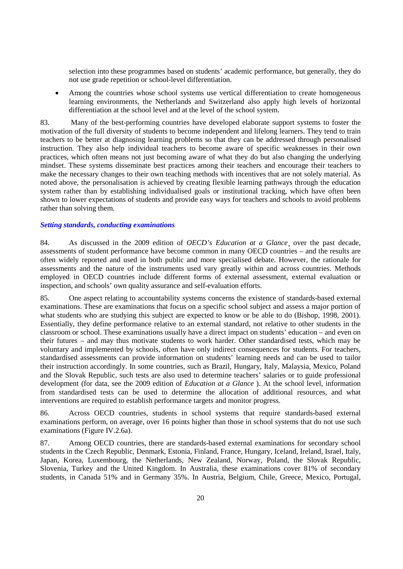selection into these programmes based on students' academic performance, but generally, they do not use grade repetition or school-level differentiation.

• Among the countries whose school systems use vertical differentiation to create homogeneous learning environments, the Netherlands and Switzerland also apply high levels of horizontal differentiation at the school level and at the level of the school system.

83. Many of the best-performing countries have developed elaborate support systems to foster the motivation of the full diversity of students to become independent and lifelong learners. They tend to train teachers to be better at diagnosing learning problems so that they can be addressed through personalised instruction. They also help individual teachers to become aware of specific weaknesses in their own practices, which often means not just becoming aware of what they do but also changing the underlying mindset. These systems disseminate best practices among their teachers and encourage their teachers to make the necessary changes to their own teaching methods with incentives that are not solely material. As noted above, the personalisation is achieved by creating flexible learning pathways through the education system rather than by establishing individualised goals or institutional tracking, which have often been shown to lower expectations of students and provide easy ways for teachers and schools to avoid problems rather than solving them.

# *Setting standards, conducting examinations*

84. As discussed in the 2009 edition of *OECD's Education at a Glance*¸ over the past decade, assessments of student performance have become common in many OECD countries – and the results are often widely reported and used in both public and more specialised debate. However, the rationale for assessments and the nature of the instruments used vary greatly within and across countries. Methods employed in OECD countries include different forms of external assessment, external evaluation or inspection, and schools' own quality assurance and self-evaluation efforts.

85. One aspect relating to accountability systems concerns the existence of standards-based external examinations. These are examinations that focus on a specific school subject and assess a major portion of what students who are studying this subject are expected to know or be able to do (Bishop, 1998, 2001). Essentially, they define performance relative to an external standard, not relative to other students in the classroom or school. These examinations usually have a direct impact on students' education – and even on their futures – and may thus motivate students to work harder. Other standardised tests, which may be voluntary and implemented by schools, often have only indirect consequences for students. For teachers, standardised assessments can provide information on students' learning needs and can be used to tailor their instruction accordingly. In some countries, such as Brazil, Hungary, Italy, Malaysia, Mexico, Poland and the Slovak Republic, such tests are also used to determine teachers' salaries or to guide professional development (for data, see the 2009 edition of *Education at a Glance* ). At the school level, information from standardised tests can be used to determine the allocation of additional resources, and what interventions are required to establish performance targets and monitor progress.

86. Across OECD countries, students in school systems that require standards-based external examinations perform, on average, over 16 points higher than those in school systems that do not use such examinations (Figure IV.2.6a).

87. Among OECD countries, there are standards-based external examinations for secondary school students in the Czech Republic, Denmark, Estonia, Finland, France, Hungary, Iceland, Ireland, Israel, Italy, Japan, Korea, Luxembourg, the Netherlands, New Zealand, Norway, Poland, the Slovak Republic, Slovenia, Turkey and the United Kingdom. In Australia, these examinations cover 81% of secondary students, in Canada 51% and in Germany 35%. In Austria, Belgium, Chile, Greece, Mexico, Portugal,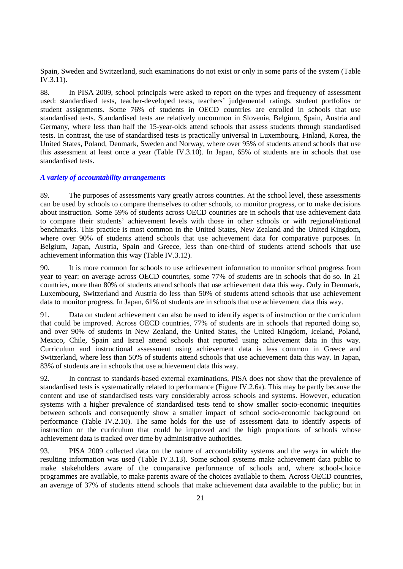Spain, Sweden and Switzerland, such examinations do not exist or only in some parts of the system (Table IV.3.11).

88. In PISA 2009, school principals were asked to report on the types and frequency of assessment used: standardised tests, teacher-developed tests, teachers' judgemental ratings, student portfolios or student assignments. Some 76% of students in OECD countries are enrolled in schools that use standardised tests. Standardised tests are relatively uncommon in Slovenia, Belgium, Spain, Austria and Germany, where less than half the 15-year-olds attend schools that assess students through standardised tests. In contrast, the use of standardised tests is practically universal in Luxembourg, Finland, Korea, the United States, Poland, Denmark, Sweden and Norway, where over 95% of students attend schools that use this assessment at least once a year (Table IV.3.10). In Japan, 65% of students are in schools that use standardised tests.

### *A variety of accountability arrangements*

89. The purposes of assessments vary greatly across countries. At the school level, these assessments can be used by schools to compare themselves to other schools, to monitor progress, or to make decisions about instruction. Some 59% of students across OECD countries are in schools that use achievement data to compare their students' achievement levels with those in other schools or with regional/national benchmarks. This practice is most common in the United States, New Zealand and the United Kingdom, where over 90% of students attend schools that use achievement data for comparative purposes. In Belgium, Japan, Austria, Spain and Greece, less than one-third of students attend schools that use achievement information this way (Table IV.3.12).

90. It is more common for schools to use achievement information to monitor school progress from year to year: on average across OECD countries, some 77% of students are in schools that do so. In 21 countries, more than 80% of students attend schools that use achievement data this way. Only in Denmark, Luxembourg, Switzerland and Austria do less than 50% of students attend schools that use achievement data to monitor progress. In Japan, 61% of students are in schools that use achievement data this way.

91. Data on student achievement can also be used to identify aspects of instruction or the curriculum that could be improved. Across OECD countries, 77% of students are in schools that reported doing so, and over 90% of students in New Zealand, the United States, the United Kingdom, Iceland, Poland, Mexico, Chile, Spain and Israel attend schools that reported using achievement data in this way. Curriculum and instructional assessment using achievement data is less common in Greece and Switzerland, where less than 50% of students attend schools that use achievement data this way. In Japan, 83% of students are in schools that use achievement data this way.

92. In contrast to standards-based external examinations, PISA does not show that the prevalence of standardised tests is systematically related to performance (Figure IV.2.6a). This may be partly because the content and use of standardised tests vary considerably across schools and systems. However, education systems with a higher prevalence of standardised tests tend to show smaller socio-economic inequities between schools and consequently show a smaller impact of school socio-economic background on performance (Table IV.2.10). The same holds for the use of assessment data to identify aspects of instruction or the curriculum that could be improved and the high proportions of schools whose achievement data is tracked over time by administrative authorities.

93. PISA 2009 collected data on the nature of accountability systems and the ways in which the resulting information was used (Table IV.3.13). Some school systems make achievement data public to make stakeholders aware of the comparative performance of schools and, where school-choice programmes are available, to make parents aware of the choices available to them. Across OECD countries, an average of 37% of students attend schools that make achievement data available to the public; but in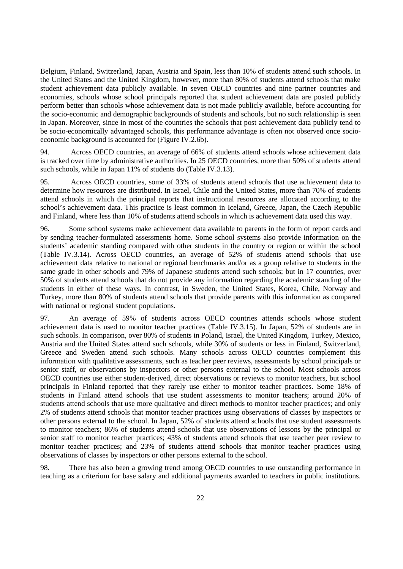Belgium, Finland, Switzerland, Japan, Austria and Spain, less than 10% of students attend such schools. In the United States and the United Kingdom, however, more than 80% of students attend schools that make student achievement data publicly available. In seven OECD countries and nine partner countries and economies, schools whose school principals reported that student achievement data are posted publicly perform better than schools whose achievement data is not made publicly available, before accounting for the socio-economic and demographic backgrounds of students and schools, but no such relationship is seen in Japan. Moreover, since in most of the countries the schools that post achievement data publicly tend to be socio-economically advantaged schools, this performance advantage is often not observed once socioeconomic background is accounted for (Figure IV.2.6b).

94. Across OECD countries, an average of 66% of students attend schools whose achievement data is tracked over time by administrative authorities. In 25 OECD countries, more than 50% of students attend such schools, while in Japan 11% of students do (Table IV.3.13).

95. Across OECD countries, some of 33% of students attend schools that use achievement data to determine how resources are distributed. In Israel, Chile and the United States, more than 70% of students attend schools in which the principal reports that instructional resources are allocated according to the school's achievement data. This practice is least common in Iceland, Greece, Japan, the Czech Republic and Finland, where less than 10% of students attend schools in which is achievement data used this way.

96. Some school systems make achievement data available to parents in the form of report cards and by sending teacher-formulated assessments home. Some school systems also provide information on the students' academic standing compared with other students in the country or region or within the school (Table IV.3.14). Across OECD countries, an average of 52% of students attend schools that use achievement data relative to national or regional benchmarks and/or as a group relative to students in the same grade in other schools and 79% of Japanese students attend such schools; but in 17 countries, over 50% of students attend schools that do not provide any information regarding the academic standing of the students in either of these ways. In contrast, in Sweden, the United States, Korea, Chile, Norway and Turkey, more than 80% of students attend schools that provide parents with this information as compared with national or regional student populations.

97. An average of 59% of students across OECD countries attends schools whose student achievement data is used to monitor teacher practices (Table IV.3.15). In Japan, 52% of students are in such schools. In comparison, over 80% of students in Poland, Israel, the United Kingdom, Turkey, Mexico, Austria and the United States attend such schools, while 30% of students or less in Finland, Switzerland, Greece and Sweden attend such schools. Many schools across OECD countries complement this information with qualitative assessments, such as teacher peer reviews, assessments by school principals or senior staff, or observations by inspectors or other persons external to the school. Most schools across OECD countries use either student-derived, direct observations or reviews to monitor teachers, but school principals in Finland reported that they rarely use either to monitor teacher practices. Some 18% of students in Finland attend schools that use student assessments to monitor teachers; around 20% of students attend schools that use more qualitative and direct methods to monitor teacher practices; and only 2% of students attend schools that monitor teacher practices using observations of classes by inspectors or other persons external to the school. In Japan, 52% of students attend schools that use student assessments to monitor teachers; 86% of students attend schools that use observations of lessons by the principal or senior staff to monitor teacher practices; 43% of students attend schools that use teacher peer review to monitor teacher practices; and 23% of students attend schools that monitor teacher practices using observations of classes by inspectors or other persons external to the school.

98. There has also been a growing trend among OECD countries to use outstanding performance in teaching as a criterium for base salary and additional payments awarded to teachers in public institutions.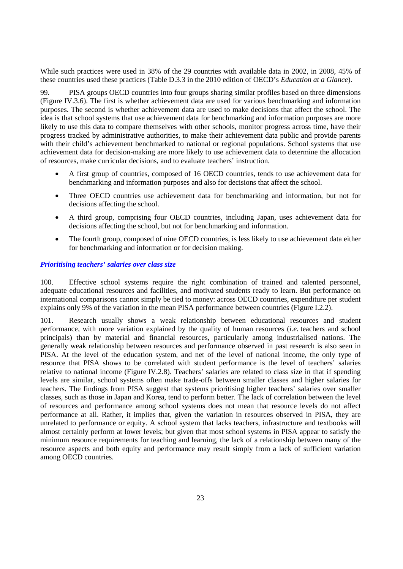While such practices were used in 38% of the 29 countries with available data in 2002, in 2008, 45% of these countries used these practices (Table D.3.3 in the 2010 edition of OECD's *Education at a Glance*).

99. PISA groups OECD countries into four groups sharing similar profiles based on three dimensions (Figure IV.3.6). The first is whether achievement data are used for various benchmarking and information purposes. The second is whether achievement data are used to make decisions that affect the school. The idea is that school systems that use achievement data for benchmarking and information purposes are more likely to use this data to compare themselves with other schools, monitor progress across time, have their progress tracked by administrative authorities, to make their achievement data public and provide parents with their child's achievement benchmarked to national or regional populations. School systems that use achievement data for decision-making are more likely to use achievement data to determine the allocation of resources, make curricular decisions, and to evaluate teachers' instruction.

- A first group of countries, composed of 16 OECD countries, tends to use achievement data for benchmarking and information purposes and also for decisions that affect the school.
- Three OECD countries use achievement data for benchmarking and information, but not for decisions affecting the school.
- A third group, comprising four OECD countries, including Japan, uses achievement data for decisions affecting the school, but not for benchmarking and information.
- The fourth group, composed of nine OECD countries, is less likely to use achievement data either for benchmarking and information or for decision making.

# *Prioritising teachers' salaries over class size*

100. Effective school systems require the right combination of trained and talented personnel, adequate educational resources and facilities, and motivated students ready to learn. But performance on international comparisons cannot simply be tied to money: across OECD countries, expenditure per student explains only 9% of the variation in the mean PISA performance between countries (Figure I.2.2).

101. Research usually shows a weak relationship between educational resources and student performance, with more variation explained by the quality of human resources (*i.e.* teachers and school principals) than by material and financial resources, particularly among industrialised nations. The generally weak relationship between resources and performance observed in past research is also seen in PISA. At the level of the education system, and net of the level of national income, the only type of resource that PISA shows to be correlated with student performance is the level of teachers' salaries relative to national income (Figure IV.2.8). Teachers' salaries are related to class size in that if spending levels are similar, school systems often make trade-offs between smaller classes and higher salaries for teachers. The findings from PISA suggest that systems prioritising higher teachers' salaries over smaller classes, such as those in Japan and Korea, tend to perform better. The lack of correlation between the level of resources and performance among school systems does not mean that resource levels do not affect performance at all. Rather, it implies that, given the variation in resources observed in PISA, they are unrelated to performance or equity. A school system that lacks teachers, infrastructure and textbooks will almost certainly perform at lower levels; but given that most school systems in PISA appear to satisfy the minimum resource requirements for teaching and learning, the lack of a relationship between many of the resource aspects and both equity and performance may result simply from a lack of sufficient variation among OECD countries.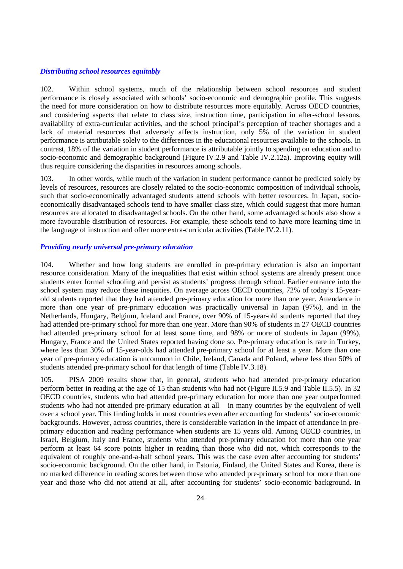### *Distributing school resources equitably*

Within school systems, much of the relationship between school resources and student performance is closely associated with schools' socio-economic and demographic profile. This suggests the need for more consideration on how to distribute resources more equitably. Across OECD countries, and considering aspects that relate to class size, instruction time, participation in after-school lessons, availability of extra-curricular activities, and the school principal's perception of teacher shortages and a lack of material resources that adversely affects instruction, only 5% of the variation in student performance is attributable solely to the differences in the educational resources available to the schools. In contrast, 18% of the variation in student performance is attributable jointly to spending on education and to socio-economic and demographic background (Figure IV.2.9 and Table IV.2.12a). Improving equity will thus require considering the disparities in resources among schools.

103. In other words, while much of the variation in student performance cannot be predicted solely by levels of resources, resources are closely related to the socio-economic composition of individual schools, such that socio-economically advantaged students attend schools with better resources. In Japan, socioeconomically disadvantaged schools tend to have smaller class size, which could suggest that more human resources are allocated to disadvantaged schools. On the other hand, some advantaged schools also show a more favourable distribution of resources. For example, these schools tend to have more learning time in the language of instruction and offer more extra-curricular activities (Table IV.2.11).

### *Providing nearly universal pre-primary education*

104. Whether and how long students are enrolled in pre-primary education is also an important resource consideration. Many of the inequalities that exist within school systems are already present once students enter formal schooling and persist as students' progress through school. Earlier entrance into the school system may reduce these inequities. On average across OECD countries, 72% of today's 15-yearold students reported that they had attended pre-primary education for more than one year. Attendance in more than one year of pre-primary education was practically universal in Japan (97%), and in the Netherlands, Hungary, Belgium, Iceland and France, over 90% of 15-year-old students reported that they had attended pre-primary school for more than one year. More than 90% of students in 27 OECD countries had attended pre-primary school for at least some time, and 98% or more of students in Japan (99%), Hungary, France and the United States reported having done so. Pre-primary education is rare in Turkey, where less than 30% of 15-year-olds had attended pre-primary school for at least a year. More than one year of pre-primary education is uncommon in Chile, Ireland, Canada and Poland, where less than 50% of students attended pre-primary school for that length of time (Table IV.3.18).

105. PISA 2009 results show that, in general, students who had attended pre-primary education perform better in reading at the age of 15 than students who had not (Figure II.5.9 and Table II.5.5). In 32 OECD countries, students who had attended pre-primary education for more than one year outperformed students who had not attended pre-primary education at all – in many countries by the equivalent of well over a school year. This finding holds in most countries even after accounting for students' socio-economic backgrounds. However, across countries, there is considerable variation in the impact of attendance in preprimary education and reading performance when students are 15 years old. Among OECD countries, in Israel, Belgium, Italy and France, students who attended pre-primary education for more than one year perform at least 64 score points higher in reading than those who did not, which corresponds to the equivalent of roughly one-and-a-half school years. This was the case even after accounting for students' socio-economic background. On the other hand, in Estonia, Finland, the United States and Korea, there is no marked difference in reading scores between those who attended pre-primary school for more than one year and those who did not attend at all, after accounting for students' socio-economic background. In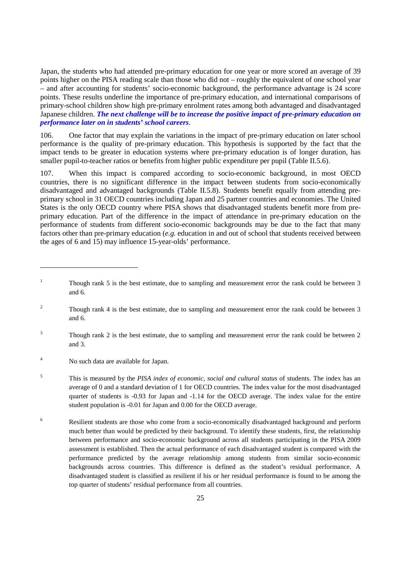Japan, the students who had attended pre-primary education for one year or more scored an average of 39 points higher on the PISA reading scale than those who did not – roughly the equivalent of one school year – and after accounting for students' socio-economic background, the performance advantage is 24 score points. These results underline the importance of pre-primary education, and international comparisons of primary-school children show high pre-primary enrolment rates among both advantaged and disadvantaged Japanese children. *The next challenge will be to increase the positive impact of pre-primary education on performance later on in students' school careers*.

106. One factor that may explain the variations in the impact of pre-primary education on later school performance is the quality of pre-primary education. This hypothesis is supported by the fact that the impact tends to be greater in education systems where pre-primary education is of longer duration, has smaller pupil-to-teacher ratios or benefits from higher public expenditure per pupil (Table II.5.6).

107. When this impact is compared according to socio-economic background, in most OECD countries, there is no significant difference in the impact between students from socio-economically disadvantaged and advantaged backgrounds (Table II.5.8). Students benefit equally from attending preprimary school in 31 OECD countries including Japan and 25 partner countries and economies. The United States is the only OECD country where PISA shows that disadvantaged students benefit more from preprimary education. Part of the difference in the impact of attendance in pre-primary education on the performance of students from different socio-economic backgrounds may be due to the fact that many factors other than pre-primary education (*e.g.* education in and out of school that students received between the ages of 6 and 15) may influence 15-year-olds' performance.

 $\overline{a}$ 

<span id="page-24-4"></span><sup>5</sup> This is measured by the *PISA index of economic, social and cultural status* of students. The index has an average of 0 and a standard deviation of 1 for OECD countries. The index value for the most disadvantaged quarter of students is -0.93 for Japan and -1.14 for the OECD average. The index value for the entire student population is -0.01 for Japan and 0.00 for the OECD average.

<span id="page-24-0"></span><sup>&</sup>lt;sup>1</sup> Though rank 5 is the best estimate, due to sampling and measurement error the rank could be between 3 and 6.

<span id="page-24-1"></span><sup>&</sup>lt;sup>2</sup> Though rank 4 is the best estimate, due to sampling and measurement error the rank could be between 3 and 6.

<span id="page-24-2"></span><sup>&</sup>lt;sup>3</sup> Though rank 2 is the best estimate, due to sampling and measurement error the rank could be between 2 and 3.

<span id="page-24-3"></span><sup>4</sup> No such data are available for Japan.

<span id="page-24-5"></span><sup>&</sup>lt;sup>6</sup> Resilient students are those who come from a socio-economically disadvantaged background and perform much better than would be predicted by their background. To identify these students, first, the relationship between performance and socio-economic background across all students participating in the PISA 2009 assessment is established. Then the actual performance of each disadvantaged student is compared with the performance predicted by the average relationship among students from similar socio-economic backgrounds across countries. This difference is defined as the student's residual performance. A disadvantaged student is classified as resilient if his or her residual performance is found to be among the top quarter of students' residual performance from all countries.